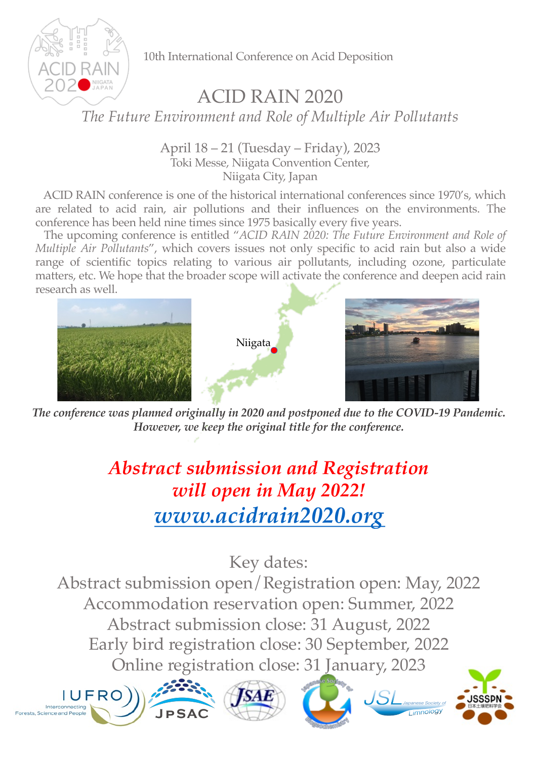

10th International Conference on Acid Deposition

## ACID RAIN 2020

*The Future Environment and Role of Multiple Air Pollutants*

April 18 – 21 (Tuesday – Friday), 2023 Toki Messe, Niigata Convention Center, Niigata City, Japan

ACID RAIN conference is one of the historical international conferences since 1970's, which are related to acid rain, air pollutions and their influences on the environments. The conference has been held nine times since 1975 basically every five years.

The upcoming conference is entitled "*ACID RAIN 2020: The Future Environment and Role of Multiple Air Pollutants*", which covers issues not only specific to acid rain but also a wide range of scientific topics relating to various air pollutants, including ozone, particulate matters, etc. We hope that the broader scope will activate the conference and deepen acid rain research as well.



*The conference was planned originally in 2020 and postponed due to the COVID-19 Pandemic. However, we keep the original title for the conference.*

## *Abstract submission and Registration will open in May 2022! [www.acidrain2020.org](http://www.acidrain2020.org/)*

Key dates: Abstract submission open/Registration open: May, 2022 Accommodation reservation open: Summer, 2022 Abstract submission close: 31 August, 2022 Early bird registration close: 30 September, 2022 Online registration close: 31 January, 2023









*Japanese Society of*